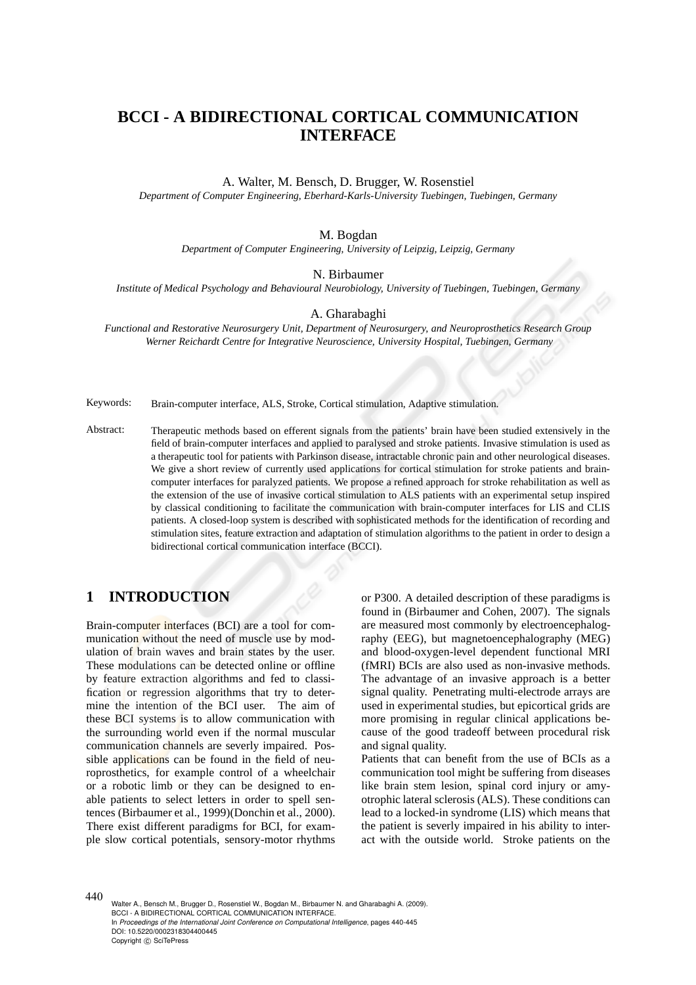# **BCCI - A BIDIRECTIONAL CORTICAL COMMUNICATION INTERFACE**

#### A. Walter, M. Bensch, D. Brugger, W. Rosenstiel

*Department of Computer Engineering, Eberhard-Karls-University Tuebingen, Tuebingen, Germany*

#### M. Bogdan

*Department of Computer Engineering, University of Leipzig, Leipzig, Germany*

N. Birbaumer

*Institute of Medical Psychology and Behavioural Neurobiology, University of Tuebingen, Tuebingen, Germany*

A. Gharabaghi

*Functional and Restorative Neurosurgery Unit, Department of Neurosurgery, and Neuroprosthetics Research Group Werner Reichardt Centre for Integrative Neuroscience, University Hospital, Tuebingen, Germany*

Keywords: Brain-computer interface, ALS, Stroke, Cortical stimulation, Adaptive stimulation.

Abstract: Therapeutic methods based on efferent signals from the patients' brain have been studied extensively in the field of brain-computer interfaces and applied to paralysed and stroke patients. Invasive stimulation is used as a therapeutic tool for patients with Parkinson disease, intractable chronic pain and other neurological diseases. We give a short review of currently used applications for cortical stimulation for stroke patients and braincomputer interfaces for paralyzed patients. We propose a refined approach for stroke rehabilitation as well as the extension of the use of invasive cortical stimulation to ALS patients with an experimental setup inspired by classical conditioning to facilitate the communication with brain-computer interfaces for LIS and CLIS patients. A closed-loop system is described with sophisticated methods for the identification of recording and stimulation sites, feature extraction and adaptation of stimulation algorithms to the patient in order to design a bidirectional cortical communication interface (BCCI).

### **1 INTRODUCTION**

Brain-computer interfaces (BCI) are a tool for communication without the need of muscle use by modulation of brain waves and brain states by the user. These modulations can be detected online or offline by feature extraction algorithms and fed to classification or regression algorithms that try to determine the intention of the BCI user. The aim of these BCI systems is to allow communication with the surrounding world even if the normal muscular communication channels are severly impaired. Possible applications can be found in the field of neuroprosthetics, for example control of a wheelchair or a robotic limb or they can be designed to enable patients to select letters in order to spell sentences (Birbaumer et al., 1999)(Donchin et al., 2000). There exist different paradigms for BCI, for example slow cortical potentials, sensory-motor rhythms or P300. A detailed description of these paradigms is found in (Birbaumer and Cohen, 2007). The signals are measured most commonly by electroencephalography (EEG), but magnetoencephalography (MEG) and blood-oxygen-level dependent functional MRI (fMRI) BCIs are also used as non-invasive methods. The advantage of an invasive approach is a better signal quality. Penetrating multi-electrode arrays are used in experimental studies, but epicortical grids are more promising in regular clinical applications because of the good tradeoff between procedural risk and signal quality.

Patients that can benefit from the use of BCIs as a communication tool might be suffering from diseases like brain stem lesion, spinal cord injury or amyotrophic lateral sclerosis (ALS). These conditions can lead to a locked-in syndrome (LIS) which means that the patient is severly impaired in his ability to interact with the outside world. Stroke patients on the

440 Walter A., Bensch M., Brugger D., Rosenstiel W., Bogdan M., Birbaumer N. and Gharabaghi A. (2009). BCCI - A BIDIRECTIONAL CORTICAL COMMUNICATION INTERFACE. In *Proceedings of the International Joint Conference on Computational Intelligence*, pages 440-445 DOI: 10.5220/0002318304400445 Copyright © SciTePress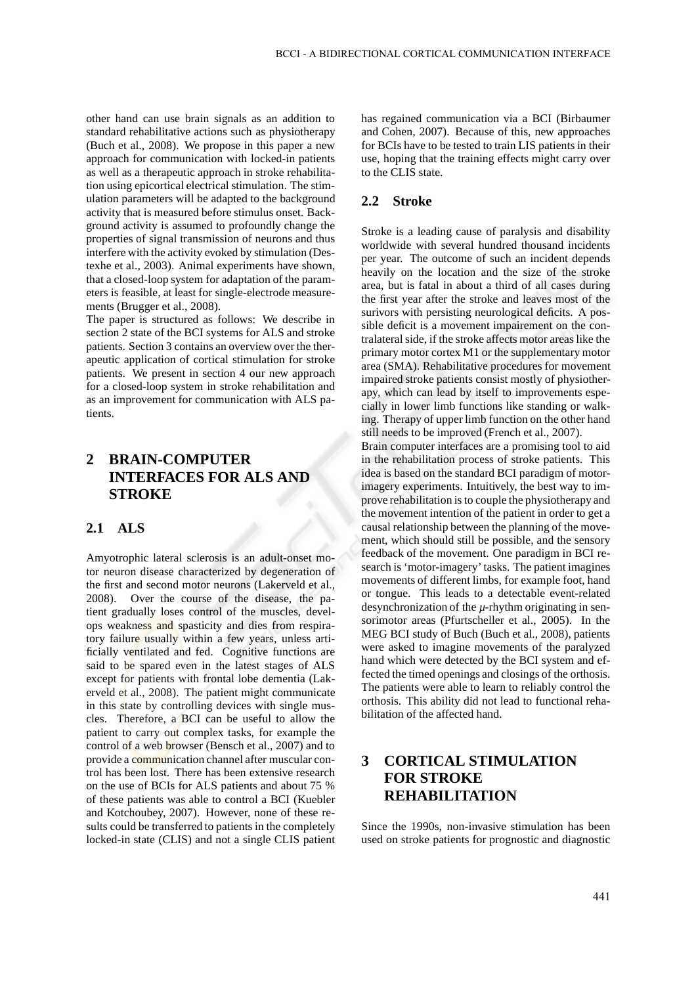other hand can use brain signals as an addition to standard rehabilitative actions such as physiotherapy (Buch et al., 2008). We propose in this paper a new approach for communication with locked-in patients as well as a therapeutic approach in stroke rehabilitation using epicortical electrical stimulation. The stimulation parameters will be adapted to the background activity that is measured before stimulus onset. Background activity is assumed to profoundly change the properties of signal transmission of neurons and thus interfere with the activity evoked by stimulation (Destexhe et al., 2003). Animal experiments have shown, that a closed-loop system for adaptation of the parameters is feasible, at least for single-electrode measurements (Brugger et al., 2008).

The paper is structured as follows: We describe in section 2 state of the BCI systems for ALS and stroke patients. Section 3 contains an overview over the therapeutic application of cortical stimulation for stroke patients. We present in section 4 our new approach for a closed-loop system in stroke rehabilitation and as an improvement for communication with ALS patients.

## **2 BRAIN-COMPUTER INTERFACES FOR ALS AND STROKE**

#### **2.1 ALS**

Amyotrophic lateral sclerosis is an adult-onset motor neuron disease characterized by degeneration of the first and second motor neurons (Lakerveld et al., 2008). Over the course of the disease, the patient gradually loses control of the muscles, develops weakness and spasticity and dies from respiratory failure usually within a few years, unless artificially ventilated and fed. Cognitive functions are said to be spared even in the latest stages of ALS except for patients with frontal lobe dementia (Lakerveld et al., 2008). The patient might communicate in this state by controlling devices with single muscles. Therefore, a BCI can be useful to allow the patient to carry out complex tasks, for example the control of a web browser (Bensch et al., 2007) and to provide a communication channel after muscular control has been lost. There has been extensive research on the use of BCIs for ALS patients and about 75 % of these patients was able to control a BCI (Kuebler and Kotchoubey, 2007). However, none of these results could be transferred to patients in the completely locked-in state (CLIS) and not a single CLIS patient

has regained communication via a BCI (Birbaumer and Cohen, 2007). Because of this, new approaches for BCIs have to be tested to train LIS patients in their use, hoping that the training effects might carry over to the CLIS state.

### **2.2 Stroke**

Stroke is a leading cause of paralysis and disability worldwide with several hundred thousand incidents per year. The outcome of such an incident depends heavily on the location and the size of the stroke area, but is fatal in about a third of all cases during the first year after the stroke and leaves most of the surivors with persisting neurological deficits. A possible deficit is a movement impairement on the contralateral side, if the stroke affects motor areas like the primary motor cortex M1 or the supplementary motor area (SMA). Rehabilitative procedures for movement impaired stroke patients consist mostly of physiotherapy, which can lead by itself to improvements especially in lower limb functions like standing or walking. Therapy of upper limb function on the other hand still needs to be improved (French et al., 2007).

Brain computer interfaces are a promising tool to aid in the rehabilitation process of stroke patients. This idea is based on the standard BCI paradigm of motorimagery experiments. Intuitively, the best way to improve rehabilitation is to couple the physiotherapy and the movement intention of the patient in order to get a causal relationship between the planning of the movement, which should still be possible, and the sensory feedback of the movement. One paradigm in BCI research is 'motor-imagery' tasks. The patient imagines movements of different limbs, for example foot, hand or tongue. This leads to a detectable event-related desynchronization of the *µ*-rhythm originating in sensorimotor areas (Pfurtscheller et al., 2005). In the MEG BCI study of Buch (Buch et al., 2008), patients were asked to imagine movements of the paralyzed hand which were detected by the BCI system and effected the timed openings and closings of the orthosis. The patients were able to learn to reliably control the orthosis. This ability did not lead to functional rehabilitation of the affected hand.

## **3 CORTICAL STIMULATION FOR STROKE REHABILITATION**

Since the 1990s, non-invasive stimulation has been used on stroke patients for prognostic and diagnostic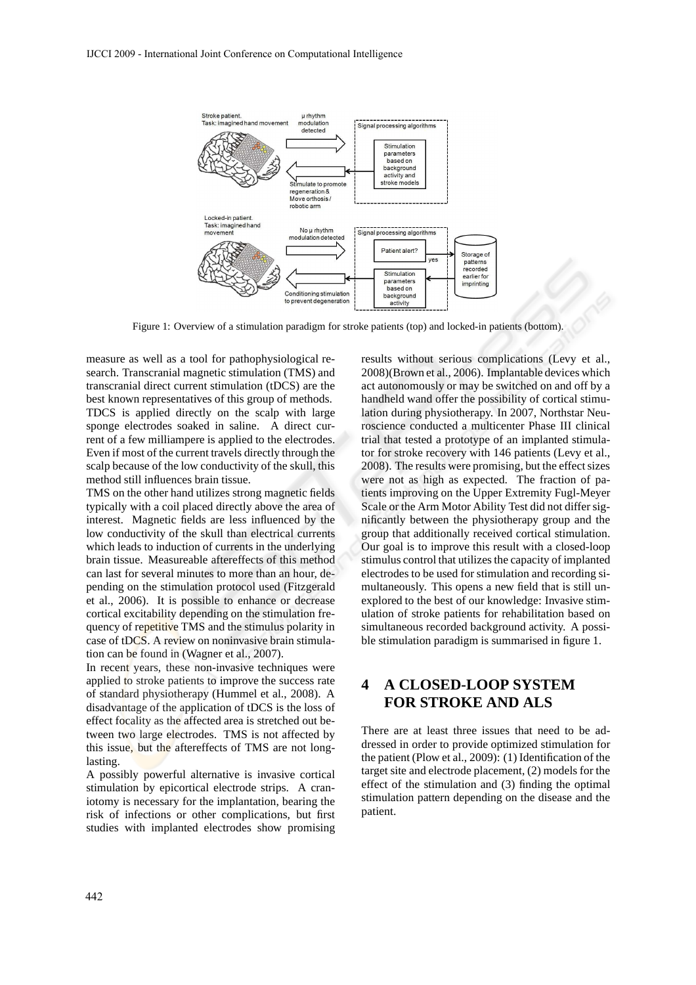

Figure 1: Overview of a stimulation paradigm for stroke patients (top) and locked-in patients (bottom).

measure as well as a tool for pathophysiological research. Transcranial magnetic stimulation (TMS) and transcranial direct current stimulation (tDCS) are the best known representatives of this group of methods. TDCS is applied directly on the scalp with large sponge electrodes soaked in saline. A direct current of a few milliampere is applied to the electrodes. Even if most of the current travels directly through the scalp because of the low conductivity of the skull, this method still influences brain tissue.

TMS on the other hand utilizes strong magnetic fields typically with a coil placed directly above the area of interest. Magnetic fields are less influenced by the low conductivity of the skull than electrical currents which leads to induction of currents in the underlying brain tissue. Measureable aftereffects of this method can last for several minutes to more than an hour, depending on the stimulation protocol used (Fitzgerald et al., 2006). It is possible to enhance or decrease cortical excitability depending on the stimulation frequency of repetitive TMS and the stimulus polarity in case of tDCS. A review on noninvasive brain stimulation can be found in (Wagner et al., 2007).

In recent years, these non-invasive techniques were applied to stroke patients to improve the success rate of standard physiotherapy (Hummel et al., 2008). A disadvantage of the application of tDCS is the loss of effect focality as the affected area is stretched out between two large electrodes. TMS is not affected by this issue, but the aftereffects of TMS are not longlasting.

A possibly powerful alternative is invasive cortical stimulation by epicortical electrode strips. A craniotomy is necessary for the implantation, bearing the risk of infections or other complications, but first studies with implanted electrodes show promising results without serious complications (Levy et al., 2008)(Brown et al., 2006). Implantable devices which act autonomously or may be switched on and off by a handheld wand offer the possibility of cortical stimulation during physiotherapy. In 2007, Northstar Neuroscience conducted a multicenter Phase III clinical trial that tested a prototype of an implanted stimulator for stroke recovery with 146 patients (Levy et al., 2008). The results were promising, but the effect sizes were not as high as expected. The fraction of patients improving on the Upper Extremity Fugl-Meyer Scale or the Arm Motor Ability Test did not differ significantly between the physiotherapy group and the group that additionally received cortical stimulation. Our goal is to improve this result with a closed-loop stimulus control that utilizes the capacity of implanted electrodes to be used for stimulation and recording simultaneously. This opens a new field that is still unexplored to the best of our knowledge: Invasive stimulation of stroke patients for rehabilitation based on simultaneous recorded background activity. A possible stimulation paradigm is summarised in figure 1.

## **4 A CLOSED-LOOP SYSTEM FOR STROKE AND ALS**

There are at least three issues that need to be addressed in order to provide optimized stimulation for the patient (Plow et al., 2009): (1) Identification of the target site and electrode placement, (2) models for the effect of the stimulation and (3) finding the optimal stimulation pattern depending on the disease and the patient.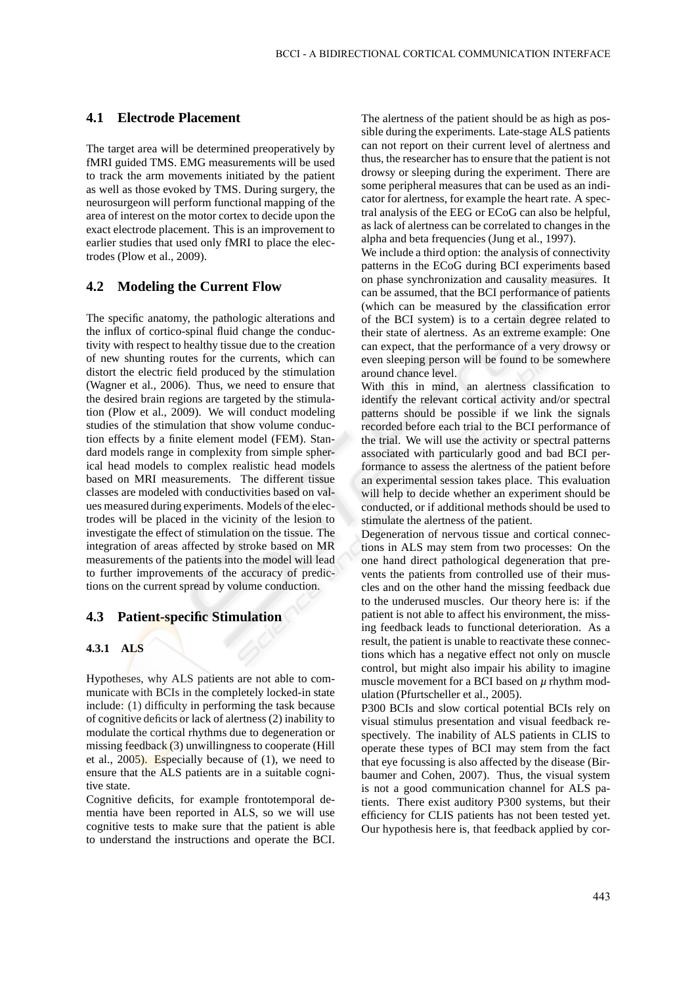#### **4.1 Electrode Placement**

The target area will be determined preoperatively by fMRI guided TMS. EMG measurements will be used to track the arm movements initiated by the patient as well as those evoked by TMS. During surgery, the neurosurgeon will perform functional mapping of the area of interest on the motor cortex to decide upon the exact electrode placement. This is an improvement to earlier studies that used only fMRI to place the electrodes (Plow et al., 2009).

### **4.2 Modeling the Current Flow**

The specific anatomy, the pathologic alterations and the influx of cortico-spinal fluid change the conductivity with respect to healthy tissue due to the creation of new shunting routes for the currents, which can distort the electric field produced by the stimulation (Wagner et al., 2006). Thus, we need to ensure that the desired brain regions are targeted by the stimulation (Plow et al., 2009). We will conduct modeling studies of the stimulation that show volume conduction effects by a finite element model (FEM). Standard models range in complexity from simple spherical head models to complex realistic head models based on MRI measurements. The different tissue classes are modeled with conductivities based on values measured during experiments. Models of the electrodes will be placed in the vicinity of the lesion to investigate the effect of stimulation on the tissue. The integration of areas affected by stroke based on MR measurements of the patients into the model will lead to further improvements of the accuracy of predictions on the current spread by volume conduction.

#### **4.3 Patient-specific Stimulation**

#### **4.3.1 ALS**

Hypotheses, why ALS patients are not able to communicate with BCIs in the completely locked-in state include: (1) difficulty in performing the task because of cognitive deficits or lack of alertness (2) inability to modulate the cortical rhythms due to degeneration or missing feedback  $(3)$  unwillingness to cooperate (Hill et al.,  $2005$ ). Especially because of  $(1)$ , we need to ensure that the ALS patients are in a suitable cognitive state.

Cognitive deficits, for example frontotemporal dementia have been reported in ALS, so we will use cognitive tests to make sure that the patient is able to understand the instructions and operate the BCI. The alertness of the patient should be as high as possible during the experiments. Late-stage ALS patients can not report on their current level of alertness and thus, the researcher has to ensure that the patient is not drowsy or sleeping during the experiment. There are some peripheral measures that can be used as an indicator for alertness, for example the heart rate. A spectral analysis of the EEG or ECoG can also be helpful, as lack of alertness can be correlated to changes in the alpha and beta frequencies (Jung et al., 1997).

We include a third option: the analysis of connectivity patterns in the ECoG during BCI experiments based on phase synchronization and causality measures. It can be assumed, that the BCI performance of patients (which can be measured by the classification error of the BCI system) is to a certain degree related to their state of alertness. As an extreme example: One can expect, that the performance of a very drowsy or even sleeping person will be found to be somewhere around chance level.

With this in mind, an alertness classification to identify the relevant cortical activity and/or spectral patterns should be possible if we link the signals recorded before each trial to the BCI performance of the trial. We will use the activity or spectral patterns associated with particularly good and bad BCI performance to assess the alertness of the patient before an experimental session takes place. This evaluation will help to decide whether an experiment should be conducted, or if additional methods should be used to stimulate the alertness of the patient.

Degeneration of nervous tissue and cortical connections in ALS may stem from two processes: On the one hand direct pathological degeneration that prevents the patients from controlled use of their muscles and on the other hand the missing feedback due to the underused muscles. Our theory here is: if the patient is not able to affect his environment, the missing feedback leads to functional deterioration. As a result, the patient is unable to reactivate these connections which has a negative effect not only on muscle control, but might also impair his ability to imagine muscle movement for a BCI based on  $\mu$  rhythm modulation (Pfurtscheller et al., 2005).

P300 BCIs and slow cortical potential BCIs rely on visual stimulus presentation and visual feedback respectively. The inability of ALS patients in CLIS to operate these types of BCI may stem from the fact that eye focussing is also affected by the disease (Birbaumer and Cohen, 2007). Thus, the visual system is not a good communication channel for ALS patients. There exist auditory P300 systems, but their efficiency for CLIS patients has not been tested yet. Our hypothesis here is, that feedback applied by cor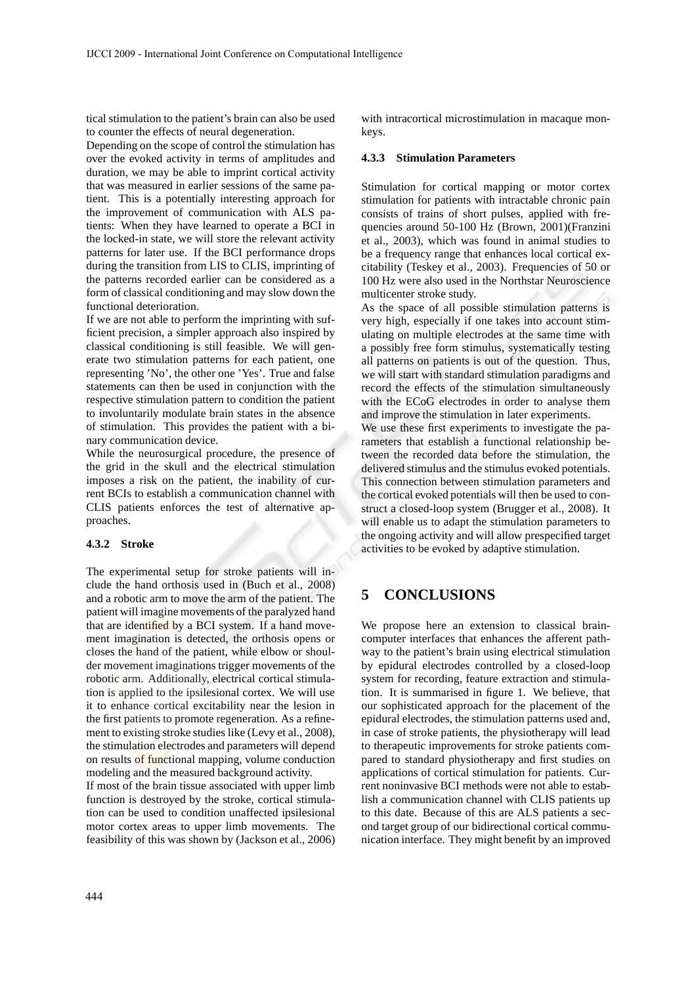tical stimulation to the patient's brain can also be used to counter the effects of neural degeneration.

Depending on the scope of control the stimulation has over the evoked activity in terms of amplitudes and duration, we may be able to imprint cortical activity that was measured in earlier sessions of the same patient. This is a potentially interesting approach for the improvement of communication with ALS patients: When they have learned to operate a BCI in the locked-in state, we will store the relevant activity patterns for later use. If the BCI performance drops during the transition from LIS to CLIS, imprinting of the patterns recorded earlier can be considered as a form of classical conditioning and may slow down the functional deterioration.

If we are not able to perform the imprinting with sufficient precision, a simpler approach also inspired by classical conditioning is still feasible. We will generate two stimulation patterns for each patient, one representing 'No', the other one 'Yes'. True and false statements can then be used in conjunction with the respective stimulation pattern to condition the patient to involuntarily modulate brain states in the absence of stimulation. This provides the patient with a binary communication device.

While the neurosurgical procedure, the presence of the grid in the skull and the electrical stimulation imposes a risk on the patient, the inability of current BCIs to establish a communication channel with CLIS patients enforces the test of alternative approaches.

#### **4.3.2 Stroke**

The experimental setup for stroke patients will include the hand orthosis used in (Buch et al., 2008) and a robotic arm to move the arm of the patient. The patient will imagine movements of the paralyzed hand that are identified by a BCI system. If a hand movement imagination is detected, the orthosis opens or closes the hand of the patient, while elbow or shoulder movement imaginations trigger movements of the robotic arm. Additionally, electrical cortical stimulation is applied to the ipsilesional cortex. We will use it to enhance cortical excitability near the lesion in the first patients to promote regeneration. As a refinement to existing stroke studies like (Levy et al., 2008), the stimulation electrodes and parameters will depend on results of functional mapping, volume conduction modeling and the measured background activity.

If most of the brain tissue associated with upper limb function is destroyed by the stroke, cortical stimulation can be used to condition unaffected ipsilesional motor cortex areas to upper limb movements. The feasibility of this was shown by (Jackson et al., 2006) with intracortical microstimulation in macaque monkeys.

#### **4.3.3 Stimulation Parameters**

Stimulation for cortical mapping or motor cortex stimulation for patients with intractable chronic pain consists of trains of short pulses, applied with frequencies around 50-100 Hz (Brown, 2001)(Franzini et al., 2003), which was found in animal studies to be a frequency range that enhances local cortical excitability (Teskey et al., 2003). Frequencies of 50 or 100 Hz were also used in the Northstar Neuroscience multicenter stroke study.

As the space of all possible stimulation patterns is very high, especially if one takes into account stimulating on multiple electrodes at the same time with a possibly free form stimulus, systematically testing all patterns on patients is out of the question. Thus, we will start with standard stimulation paradigms and record the effects of the stimulation simultaneously with the ECoG electrodes in order to analyse them and improve the stimulation in later experiments.

We use these first experiments to investigate the parameters that establish a functional relationship between the recorded data before the stimulation, the delivered stimulus and the stimulus evoked potentials. This connection between stimulation parameters and the cortical evoked potentials will then be used to construct a closed-loop system (Brugger et al., 2008). It will enable us to adapt the stimulation parameters to the ongoing activity and will allow prespecified target activities to be evoked by adaptive stimulation.

## **5 CONCLUSIONS**

We propose here an extension to classical braincomputer interfaces that enhances the afferent pathway to the patient's brain using electrical stimulation by epidural electrodes controlled by a closed-loop system for recording, feature extraction and stimulation. It is summarised in figure 1. We believe, that our sophisticated approach for the placement of the epidural electrodes, the stimulation patterns used and, in case of stroke patients, the physiotherapy will lead to therapeutic improvements for stroke patients compared to standard physiotherapy and first studies on applications of cortical stimulation for patients. Current noninvasive BCI methods were not able to establish a communication channel with CLIS patients up to this date. Because of this are ALS patients a second target group of our bidirectional cortical communication interface. They might benefit by an improved